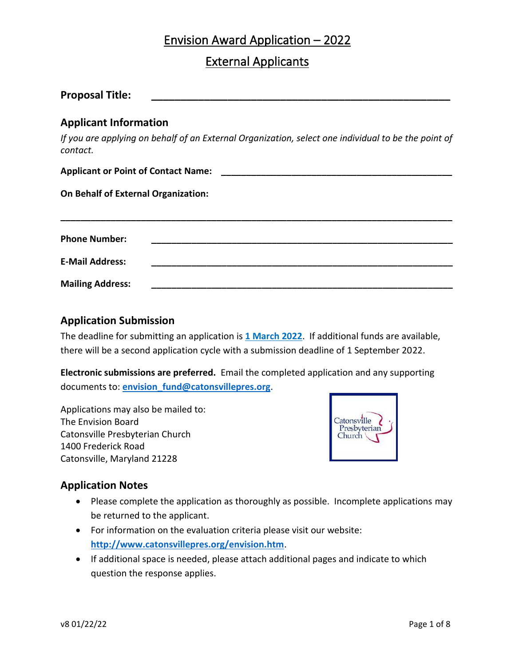# Envision Award Application – 2022

# External Applicants

| <b>Proposal Title:</b>                     |                                                                                                     |  |  |
|--------------------------------------------|-----------------------------------------------------------------------------------------------------|--|--|
| <b>Applicant Information</b>               |                                                                                                     |  |  |
| contact.                                   | If you are applying on behalf of an External Organization, select one individual to be the point of |  |  |
|                                            |                                                                                                     |  |  |
| <b>On Behalf of External Organization:</b> |                                                                                                     |  |  |
| <b>Phone Number:</b>                       |                                                                                                     |  |  |
| <b>E-Mail Address:</b>                     |                                                                                                     |  |  |
| <b>Mailing Address:</b>                    |                                                                                                     |  |  |

### **Application Submission**

The deadline for submitting an application is **1 March 2022**. If additional funds are available, there will be a second application cycle with a submission deadline of 1 September 2022.

**Electronic submissions are preferred.** Email the completed application and any supporting documents to: **[envision\\_fund@catonsvillepres.org](mailto:envision_fund@catonsvillepres.org)**.

Applications may also be mailed to: The Envision Board Catonsville Presbyterian Church 1400 Frederick Road Catonsville, Maryland 21228



### **Application Notes**

- Please complete the application as thoroughly as possible. Incomplete applications may be returned to the applicant.
- For information on the evaluation criteria please visit our website: **<http://www.catonsvillepres.org/envision.htm>**.
- If additional space is needed, please attach additional pages and indicate to which question the response applies.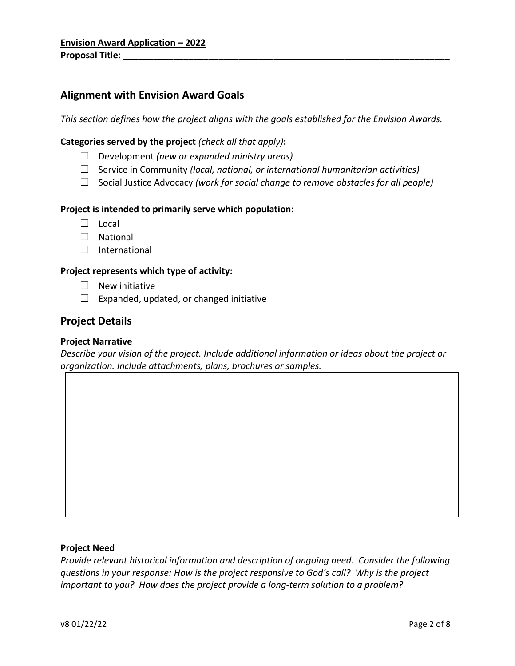## **Alignment with Envision Award Goals**

*This section defines how the project aligns with the goals established for the Envision Awards.*

### **Categories served by the project** *(check all that apply)***:**

- ☐ Development *(new or expanded ministry areas)*
- ☐ Service in Community *(local, national, or international humanitarian activities)*
- ☐ Social Justice Advocacy *(work for social change to remove obstacles for all people)*

### **Project is intended to primarily serve which population:**

- ☐ Local
- ☐ National
- □ International

### **Project represents which type of activity:**

- $\Box$  New initiative
- $\Box$  Expanded, updated, or changed initiative

### **Project Details**

### **Project Narrative**

*Describe your vision of the project. Include additional information or ideas about the project or organization. Include attachments, plans, brochures or samples.*

#### **Project Need**

*Provide relevant historical information and description of ongoing need. Consider the following questions in your response: How is the project responsive to God's call? Why is the project important to you? How does the project provide a long-term solution to a problem?*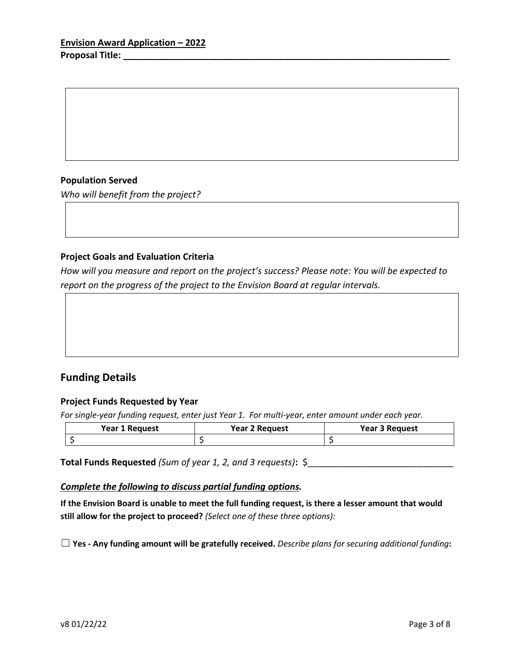### **Population Served**

*Who will benefit from the project?*

### **Project Goals and Evaluation Criteria**

*How will you measure and report on the project's success? Please note: You will be expected to report on the progress of the project to the Envision Board at regular intervals.*

### **Funding Details**

### **Project Funds Requested by Year**

*For single-year funding request, enter just Year 1. For multi-year, enter amount under each year.*

| <b>Year 1 Request</b> | <b>Year 2 Request</b> | <b>Year 3 Request</b> |
|-----------------------|-----------------------|-----------------------|
|                       |                       |                       |

**Total Funds Requested** *(Sum of year 1, 2, and 3 requests)***:** \$

#### *Complete the following to discuss partial funding options.*

If the Envision Board is unable to meet the full funding request, is there a lesser amount that would **still allow for the project to proceed?** *(Select one of these three options):*

☐ **Yes - Any funding amount will be gratefully received.** *Describe plans for securing additional funding***:**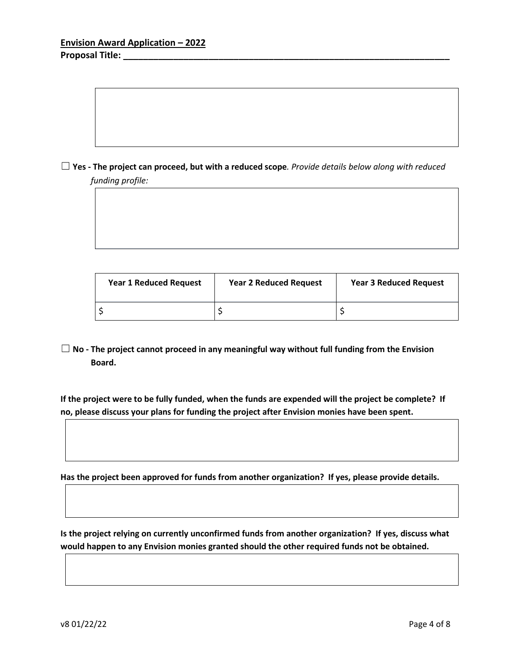$\Box$  Yes - The project can proceed, but with a reduced scope. Provide details below along with reduced *funding profile:*

| <b>Year 1 Reduced Request</b> | <b>Year 2 Reduced Request</b> | <b>Year 3 Reduced Request</b> |
|-------------------------------|-------------------------------|-------------------------------|
|                               |                               |                               |

☐ **No - The project cannot proceed in any meaningful way without full funding from the Envision Board.**

**If the project were to be fully funded, when the funds are expended will the project be complete? If no, please discuss your plans for funding the project after Envision monies have been spent.**

**Has the project been approved for funds from another organization? If yes, please provide details.**

**Is the project relying on currently unconfirmed funds from another organization? If yes, discuss what would happen to any Envision monies granted should the other required funds not be obtained.**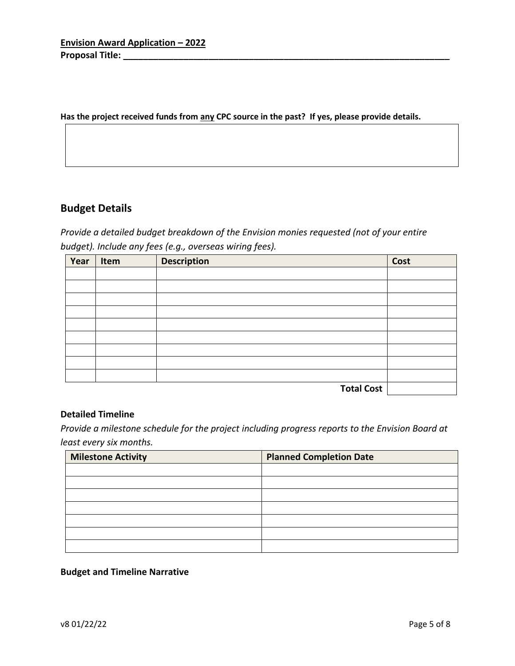#### **Has the project received funds from any CPC source in the past? If yes, please provide details.**

## **Budget Details**

*Provide a detailed budget breakdown of the Envision monies requested (not of your entire budget). Include any fees (e.g., overseas wiring fees).*

| Year | Item | <b>Description</b> | Cost |
|------|------|--------------------|------|
|      |      |                    |      |
|      |      |                    |      |
|      |      |                    |      |
|      |      |                    |      |
|      |      |                    |      |
|      |      |                    |      |
|      |      |                    |      |
|      |      |                    |      |
|      |      |                    |      |
|      |      | <b>Total Cost</b>  |      |

### **Detailed Timeline**

*Provide a milestone schedule for the project including progress reports to the Envision Board at least every six months.*

| <b>Milestone Activity</b> | <b>Planned Completion Date</b> |
|---------------------------|--------------------------------|
|                           |                                |
|                           |                                |
|                           |                                |
|                           |                                |
|                           |                                |
|                           |                                |
|                           |                                |

### **Budget and Timeline Narrative**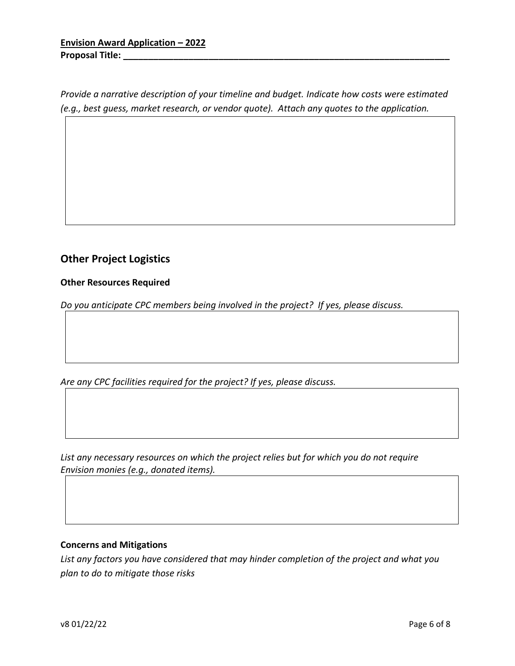*Provide a narrative description of your timeline and budget. Indicate how costs were estimated (e.g., best guess, market research, or vendor quote). Attach any quotes to the application.*

# **Other Project Logistics**

### **Other Resources Required**

*Do you anticipate CPC members being involved in the project? If yes, please discuss.*

*Are any CPC facilities required for the project? If yes, please discuss.*

*List any necessary resources on which the project relies but for which you do not require Envision monies (e.g., donated items).*

### **Concerns and Mitigations**

*List any factors you have considered that may hinder completion of the project and what you plan to do to mitigate those risks*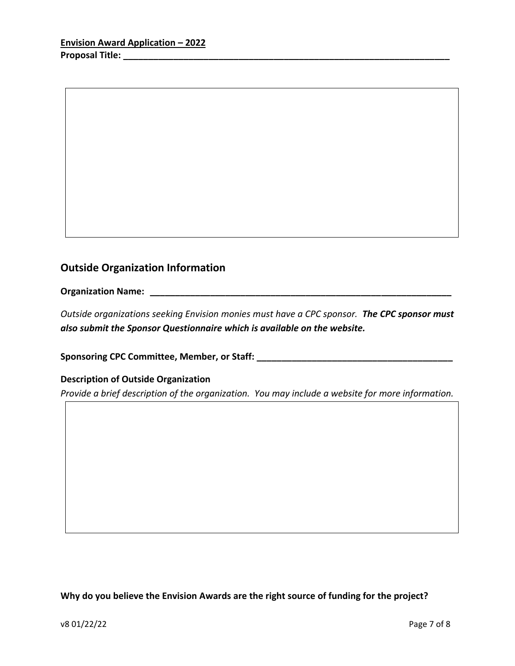# **Outside Organization Information**

**Organization Name: \_\_\_\_\_\_\_\_\_\_\_\_\_\_\_\_\_\_\_\_\_\_\_\_\_\_\_\_\_\_\_\_\_\_\_\_\_\_\_\_\_\_\_\_\_\_\_\_\_\_\_\_\_\_\_\_\_\_\_\_**

*Outside organizations seeking Envision monies must have a CPC sponsor. The CPC sponsor must also submit the Sponsor Questionnaire which is available on the website.* 

**Sponsoring CPC Committee, Member, or Staff: \_\_\_\_\_\_\_\_\_\_\_\_\_\_\_\_\_\_\_\_\_\_\_\_\_\_\_\_\_\_\_\_\_\_\_\_\_\_\_**

### **Description of Outside Organization**

*Provide a brief description of the organization. You may include a website for more information.*

**Why do you believe the Envision Awards are the right source of funding for the project?**